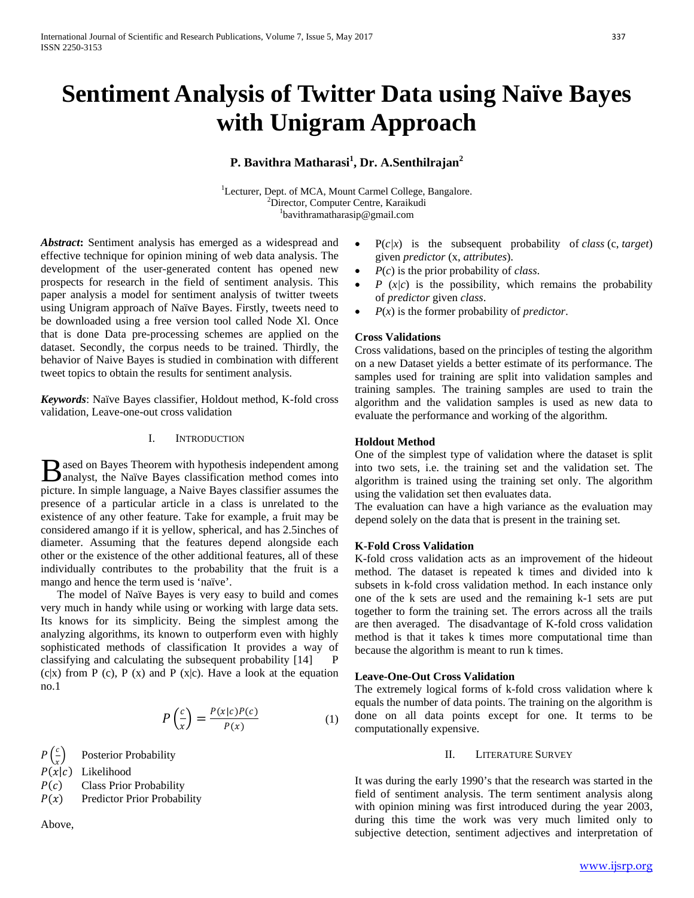# **Sentiment Analysis of Twitter Data using Naïve Bayes with Unigram Approach**

# **P. Bavithra Matharasi<sup>1</sup> , Dr. A.Senthilrajan<sup>2</sup>**

<sup>1</sup>Lecturer, Dept. of MCA, Mount Carmel College, Bangalore. <sup>2</sup>Director, Computer Centre, Karaikudi bavithramatharasip@gmail.com

*Abstract***:** Sentiment analysis has emerged as a widespread and effective technique for opinion mining of web data analysis. The development of the user-generated content has opened new prospects for research in the field of sentiment analysis. This paper analysis a model for sentiment analysis of twitter tweets using Unigram approach of Naïve Bayes. Firstly, tweets need to be downloaded using a free version tool called Node Xl. Once that is done Data pre-processing schemes are applied on the dataset. Secondly, the corpus needs to be trained. Thirdly, the behavior of Naive Bayes is studied in combination with different tweet topics to obtain the results for sentiment analysis.

*Keywords*: Naïve Bayes classifier, Holdout method, K-fold cross validation, Leave-one-out cross validation

# I. INTRODUCTION

ased on Bayes Theorem with hypothesis independent among **B** ased on Bayes Theorem with hypothesis independent among analyst, the Naïve Bayes classification method comes into picture. In simple language, a Naive Bayes classifier assumes the presence of a particular article in a class is unrelated to the existence of any other feature. Take for example, a fruit may be considered amango if it is yellow, spherical, and has 2.5inches of diameter. Assuming that the features depend alongside each other or the existence of the other additional features, all of these individually contributes to the probability that the fruit is a mango and hence the term used is 'naïve'.

The model of Naïve Bayes is very easy to build and comes very much in handy while using or working with large data sets. Its knows for its simplicity. Being the simplest among the analyzing algorithms, its known to outperform even with highly sophisticated methods of classification It provides a way of classifying and calculating the subsequent probability [14] P  $(c|x)$  from P  $(c)$ , P  $(x)$  and P  $(x|c)$ . Have a look at the equation no.1

$$
P\left(\frac{c}{x}\right) = \frac{P(x|c)P(c)}{P(x)}\tag{1}
$$

 $P\left(\frac{c}{r}\right)$ Posterior Probability

- $P(x|c)$  Likelihood
- $P(c)$  Class Prior Probability<br>  $P(x)$  Predictor Prior Probabi
- Predictor Prior Probability

Above,

- $P(c/x)$  is the subsequent probability of *class* (c, *target*) given *predictor* (x, *attributes*).
- *P*(*c*) is the prior probability of *class*.
- $P(x|c)$  is the possibility, which remains the probability of *predictor* given *class*.
- $P(x)$  is the former probability of *predictor*.

## **Cross Validations**

Cross validations, based on the principles of testing the algorithm on a new Dataset yields a better estimate of its performance. The samples used for training are split into validation samples and training samples. The training samples are used to train the algorithm and the validation samples is used as new data to evaluate the performance and working of the algorithm.

# **Holdout Method**

One of the simplest type of validation where the dataset is split into two sets, i.e. the training set and the validation set. The algorithm is trained using the training set only. The algorithm using the validation set then evaluates data.

The evaluation can have a high variance as the evaluation may depend solely on the data that is present in the training set.

#### **K-Fold Cross Validation**

K-fold cross validation acts as an improvement of the hideout method. The dataset is repeated k times and divided into k subsets in k-fold cross validation method. In each instance only one of the k sets are used and the remaining k-1 sets are put together to form the training set. The errors across all the trails are then averaged. The disadvantage of K-fold cross validation method is that it takes k times more computational time than because the algorithm is meant to run k times.

## **Leave-One-Out Cross Validation**

The extremely logical forms of k-fold cross validation where k equals the number of data points. The training on the algorithm is done on all data points except for one. It terms to be computationally expensive.

## II. LITERATURE SURVEY

It was during the early 1990's that the research was started in the field of sentiment analysis. The term sentiment analysis along with opinion mining was first introduced during the year 2003, during this time the work was very much limited only to subjective detection, sentiment adjectives and interpretation of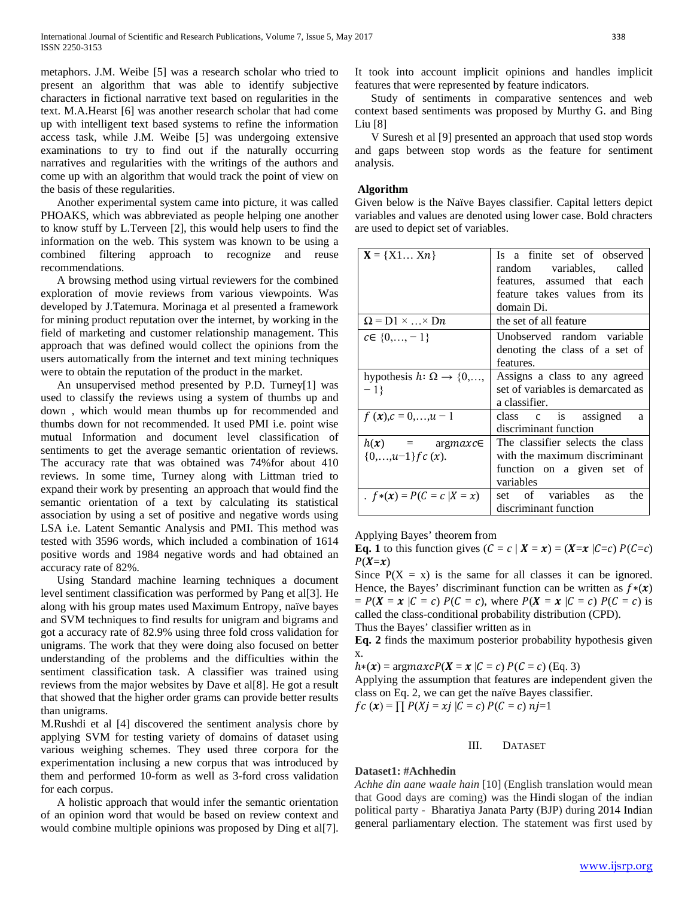metaphors. J.M. Weibe [5] was a research scholar who tried to present an algorithm that was able to identify subjective characters in fictional narrative text based on regularities in the text. M.A.Hearst [6] was another research scholar that had come up with intelligent text based systems to refine the information access task, while J.M. Weibe [5] was undergoing extensive examinations to try to find out if the naturally occurring narratives and regularities with the writings of the authors and come up with an algorithm that would track the point of view on the basis of these regularities.

Another experimental system came into picture, it was called PHOAKS, which was abbreviated as people helping one another to know stuff by L.Terveen [2], this would help users to find the information on the web. This system was known to be using a combined filtering approach to recognize and reuse recommendations.

A browsing method using virtual reviewers for the combined exploration of movie reviews from various viewpoints. Was developed by J.Tatemura. Morinaga et al presented a framework for mining product reputation over the internet, by working in the field of marketing and customer relationship management. This approach that was defined would collect the opinions from the users automatically from the internet and text mining techniques were to obtain the reputation of the product in the market.

An unsupervised method presented by P.D. Turney[1] was used to classify the reviews using a system of thumbs up and down , which would mean thumbs up for recommended and thumbs down for not recommended. It used PMI i.e. point wise mutual Information and document level classification of sentiments to get the average semantic orientation of reviews. The accuracy rate that was obtained was 74%for about 410 reviews. In some time, Turney along with Littman tried to expand their work by presenting an approach that would find the semantic orientation of a text by calculating its statistical association by using a set of positive and negative words using LSA i.e. Latent Semantic Analysis and PMI. This method was tested with 3596 words, which included a combination of 1614 positive words and 1984 negative words and had obtained an accuracy rate of 82%.

Using Standard machine learning techniques a document level sentiment classification was performed by Pang et al[3]. He along with his group mates used Maximum Entropy, naïve bayes and SVM techniques to find results for unigram and bigrams and got a accuracy rate of 82.9% using three fold cross validation for unigrams. The work that they were doing also focused on better understanding of the problems and the difficulties within the sentiment classification task. A classifier was trained using reviews from the major websites by Dave et al[8]. He got a result that showed that the higher order grams can provide better results than unigrams.

M.Rushdi et al [4] discovered the sentiment analysis chore by applying SVM for testing variety of domains of dataset using various weighing schemes. They used three corpora for the experimentation inclusing a new corpus that was introduced by them and performed 10-form as well as 3-ford cross validation for each corpus.

A holistic approach that would infer the semantic orientation of an opinion word that would be based on review context and would combine multiple opinions was proposed by Ding et al[7]. It took into account implicit opinions and handles implicit features that were represented by feature indicators.

Study of sentiments in comparative sentences and web context based sentiments was proposed by Murthy G. and Bing Liu [8]

V Suresh et al [9] presented an approach that used stop words and gaps between stop words as the feature for sentiment analysis.

## **Algorithm**

Given below is the Naïve Bayes classifier. Capital letters depict variables and values are denoted using lower case. Bold chracters are used to depict set of variables.

| $X = \{X1 Xn\}$                                         | Is a finite set of observed<br>random variables, called<br>features, assumed that each<br>feature takes values from its<br>domain Di. |
|---------------------------------------------------------|---------------------------------------------------------------------------------------------------------------------------------------|
| $\Omega$ = D1 ×  × Dn                                   | the set of all feature                                                                                                                |
| $c \in \{0, \ldots, -1\}$                               | Unobserved random variable<br>denoting the class of a set of<br>features.                                                             |
| hypothesis $h: \Omega \rightarrow \{0, \ldots,$<br>$-1$ | Assigns a class to any agreed<br>set of variables is demarcated as<br>a classifier.                                                   |
| $f(x), c = 0,,u-1$                                      | class c is assigned<br>a<br>discriminant function                                                                                     |
| $h(x)$ = argmaxce<br>$\{0,\ldots,u-1\}$ f c $(x)$ .     | The classifier selects the class<br>with the maximum discriminant<br>function on a given set of<br>variables                          |
| . $f*(x) = P(C = c   X = x)$                            | set of variables<br>the<br><b>as</b><br>discriminant function                                                                         |

Applying Bayes' theorem from

**Eq. 1** to this function gives  $(C = c | X = x) = (X = x | C = c) P(C = c)$  $P(X=x)$ 

Since  $P(X = x)$  is the same for all classes it can be ignored. Hence, the Bayes' discriminant function can be written as  $f*(x)$  $= P(X = x | C = c) P(C = c)$ , where  $P(X = x | C = c) P(C = c)$  is called the class-conditional probability distribution (CPD).

Thus the Bayes' classifier written as in

**Eq. 2** finds the maximum posterior probability hypothesis given x.

 $h*(x) = \text{argmaxc} P(X = x | C = c) P(C = c)$  (Eq. 3)

Applying the assumption that features are independent given the class on Eq. 2, we can get the naïve Bayes classifier.  $fc(x) = \prod P(Xj = xj | C = c) P(C = c) nj=1$ 

#### III. DATASET

#### **Dataset1: #Achhedin**

*Achhe din aane waale hain* [10] (English translation would mean that Good days are coming) was the Hindi slogan of the indian political party - Bharatiya Janata Party (BJP) during 2014 Indian general parliamentary election. The statement was first used by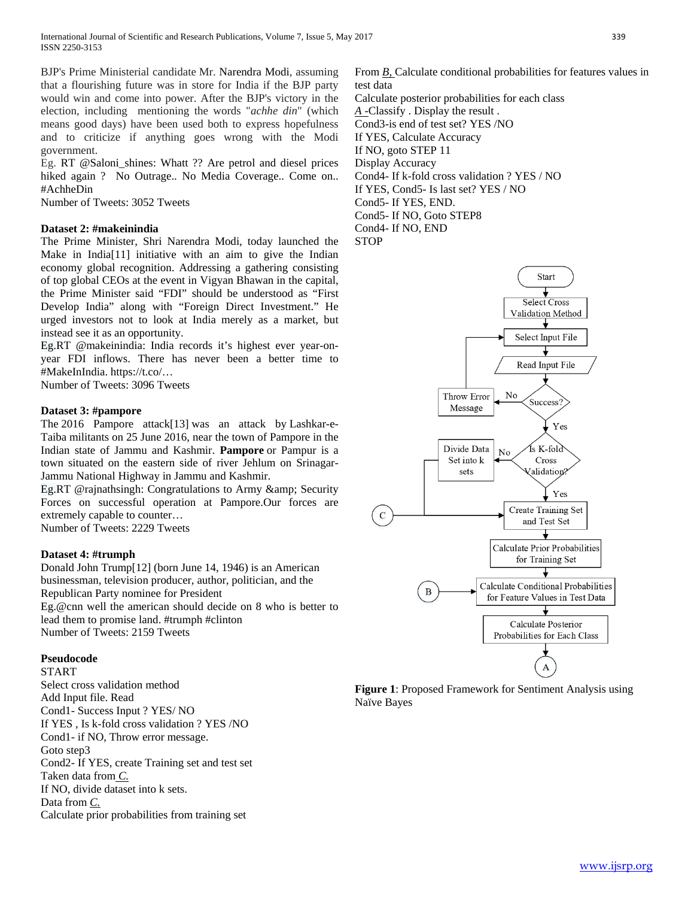BJP's Prime Ministerial candidate Mr. Narendra Modi, assuming that a flourishing future was in store for India if the BJP party would win and come into power. After the BJP's victory in the election, including mentioning the words "*achhe din*" (which means good days) have been used both to express hopefulness and to criticize if anything goes wrong with the Modi government.

Eg. RT @Saloni\_shines: Whatt ?? Are petrol and diesel prices hiked again ? No Outrage.. No Media Coverage.. Come on.. #AchheDin

Number of Tweets: 3052 Tweets

## **Dataset 2: #makeinindia**

The Prime Minister, Shri Narendra Modi, today launched the Make in India[11] initiative with an aim to give the Indian economy global recognition. Addressing a gathering consisting of top global CEOs at the event in Vigyan Bhawan in the capital, the Prime Minister said "FDI" should be understood as "First Develop India" along with "Foreign Direct Investment." He urged investors not to look at India merely as a market, but instead see it as an opportunity.

Eg.RT @makeinindia: India records it's highest ever year-onyear FDI inflows. There has never been a better time to #MakeInIndia. https://t.co/…

Number of Tweets: 3096 Tweets

# **Dataset 3: #pampore**

The 2016 Pampore attack[13] was an attack by Lashkar-e-Taiba militants on 25 June 2016, near the town of Pampore in the Indian state of Jammu and Kashmir. **Pampore** or Pampur is a town situated on the eastern side of river Jehlum on Srinagar-Jammu National Highway in Jammu and Kashmir.

Eg.RT @rajnathsingh: Congratulations to Army & amp; Security Forces on successful operation at Pampore.Our forces are extremely capable to counter…

Number of Tweets: 2229 Tweets

# **Dataset 4: #trumph**

Donald John Trump[12] (born June 14, 1946) is an American businessman, television producer, author, politician, and the Republican Party nominee for President

Eg.@cnn well the american should decide on 8 who is better to lead them to promise land. #trumph #clinton Number of Tweets: 2159 Tweets

## **Pseudocode**

START

Select cross validation method Add Input file. Read Cond1- Success Input ? YES/ NO If YES , Is k-fold cross validation ? YES /NO Cond1- if NO, Throw error message. Goto step3 Cond2- If YES, create Training set and test set Taken data from *C.* If NO, divide dataset into k sets. Data from *C.* Calculate prior probabilities from training set

From *B*, Calculate conditional probabilities for features values in test data Calculate posterior probabilities for each class *A -*Classify . Display the result . Cond3-is end of test set? YES /NO If YES, Calculate Accuracy If NO, goto STEP 11 Display Accuracy Cond4- If k-fold cross validation ? YES / NO If YES, Cond5- Is last set? YES / NO Cond5- If YES, END. Cond5- If NO, Goto STEP8

Cond4- If NO, END

**STOP** 



**Figure 1**: Proposed Framework for Sentiment Analysis using Naïve Bayes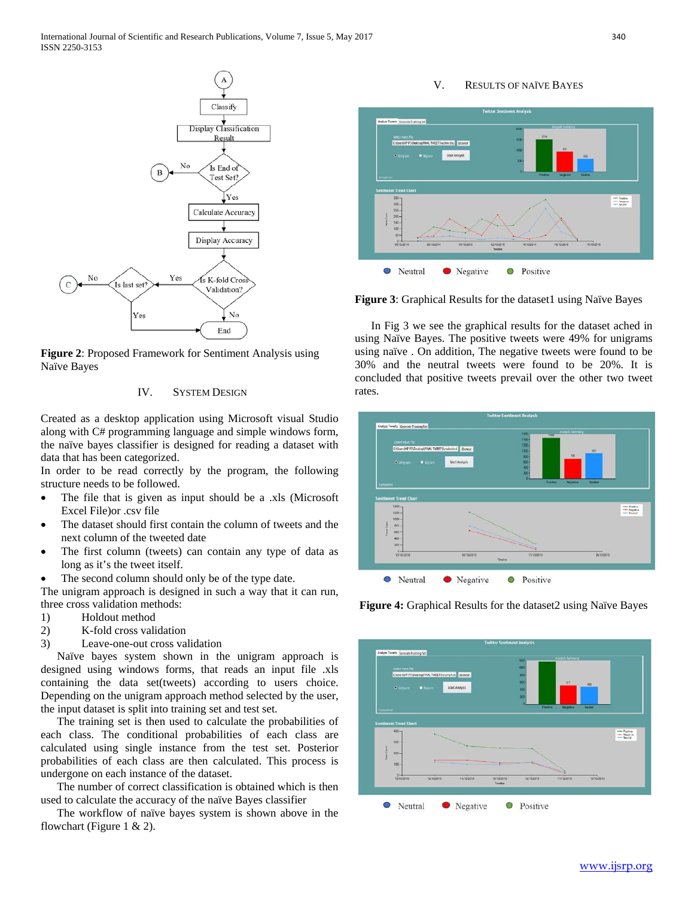

**Figure 2**: Proposed Framework for Sentiment Analysis using Naïve Bayes

# IV. SYSTEM DESIGN

Created as a desktop application using Microsoft visual Studio along with C# programming language and simple windows form, the naïve bayes classifier is designed for reading a dataset with data that has been categorized.

In order to be read correctly by the program, the following structure needs to be followed.

- The file that is given as input should be a .xls (Microsoft Excel File)or .csv file
- The dataset should first contain the column of tweets and the next column of the tweeted date
- The first column (tweets) can contain any type of data as long as it's the tweet itself.
- The second column should only be of the type date.

The unigram approach is designed in such a way that it can run, three cross validation methods:

- 1) Holdout method
- 2) K-fold cross validation
- 3) Leave-one-out cross validation

Naïve bayes system shown in the unigram approach is designed using windows forms, that reads an input file .xls containing the data set(tweets) according to users choice. Depending on the unigram approach method selected by the user, the input dataset is split into training set and test set.

The training set is then used to calculate the probabilities of each class. The conditional probabilities of each class are calculated using single instance from the test set. Posterior probabilities of each class are then calculated. This process is undergone on each instance of the dataset.

The number of correct classification is obtained which is then used to calculate the accuracy of the naïve Bayes classifier

The workflow of naïve bayes system is shown above in the flowchart (Figure 1  $& 2$ ).

#### V. RESULTS OF NAÏVE BAYES



Figure 3: Graphical Results for the dataset1 using Naïve Bayes

In Fig 3 we see the graphical results for the dataset ached in using Naïve Bayes. The positive tweets were 49% for unigrams using naïve . On addition, The negative tweets were found to be 30% and the neutral tweets were found to be 20%. It is concluded that positive tweets prevail over the other two tweet rates.